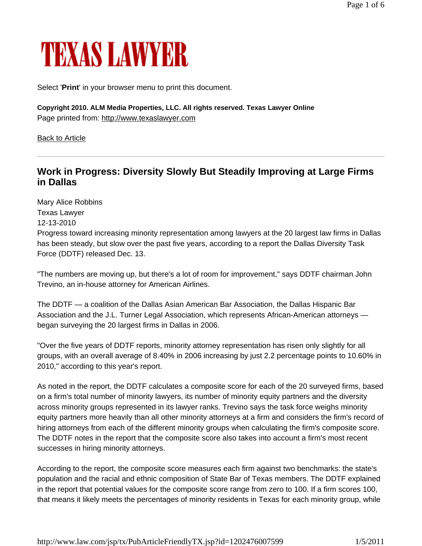# TEXAS LAWYER

Select '**Print**' in your browser menu to print this document.

**Copyright 2010. ALM Media Properties, LLC. All rights reserved. Texas Lawyer Online**  Page printed from: http://www.texaslawyer.com

Back to Article

# **Work in Progress: Diversity Slowly But Steadily Improving at Large Firms in Dallas**

Mary Alice Robbins Texas Lawyer 12-13-2010 Progress toward increasing minority representation among lawyers at the 20 largest law firms in Dallas has been steady, but slow over the past five years, according to a report the Dallas Diversity Task Force (DDTF) released Dec. 13.

"The numbers are moving up, but there's a lot of room for improvement," says DDTF chairman John Trevino, an in-house attorney for American Airlines.

The DDTF — a coalition of the Dallas Asian American Bar Association, the Dallas Hispanic Bar Association and the J.L. Turner Legal Association, which represents African-American attorneys began surveying the 20 largest firms in Dallas in 2006.

"Over the five years of DDTF reports, minority attorney representation has risen only slightly for all groups, with an overall average of 8.40% in 2006 increasing by just 2.2 percentage points to 10.60% in 2010," according to this year's report.

As noted in the report, the DDTF calculates a composite score for each of the 20 surveyed firms, based on a firm's total number of minority lawyers, its number of minority equity partners and the diversity across minority groups represented in its lawyer ranks. Trevino says the task force weighs minority equity partners more heavily than all other minority attorneys at a firm and considers the firm's record of hiring attorneys from each of the different minority groups when calculating the firm's composite score. The DDTF notes in the report that the composite score also takes into account a firm's most recent successes in hiring minority attorneys.

According to the report, the composite score measures each firm against two benchmarks: the state's population and the racial and ethnic composition of State Bar of Texas members. The DDTF explained in the report that potential values for the composite score range from zero to 100. If a firm scores 100, that means it likely meets the percentages of minority residents in Texas for each minority group, while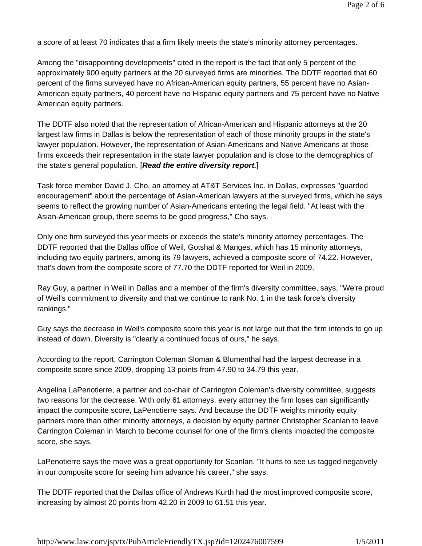a score of at least 70 indicates that a firm likely meets the state's minority attorney percentages.

Among the "disappointing developments" cited in the report is the fact that only 5 percent of the approximately 900 equity partners at the 20 surveyed firms are minorities. The DDTF reported that 60 percent of the firms surveyed have no African-American equity partners, 55 percent have no Asian-American equity partners, 40 percent have no Hispanic equity partners and 75 percent have no Native American equity partners.

The DDTF also noted that the representation of African-American and Hispanic attorneys at the 20 largest law firms in Dallas is below the representation of each of those minority groups in the state's lawyer population. However, the representation of Asian-Americans and Native Americans at those firms exceeds their representation in the state lawyer population and is close to the demographics of the state's general population. [*Read the entire diversity report.*]

Task force member David J. Cho, an attorney at AT&T Services Inc. in Dallas, expresses "guarded encouragement" about the percentage of Asian-American lawyers at the surveyed firms, which he says seems to reflect the growing number of Asian-Americans entering the legal field. "At least with the Asian-American group, there seems to be good progress," Cho says.

Only one firm surveyed this year meets or exceeds the state's minority attorney percentages. The DDTF reported that the Dallas office of Weil, Gotshal & Manges, which has 15 minority attorneys, including two equity partners, among its 79 lawyers, achieved a composite score of 74.22. However, that's down from the composite score of 77.70 the DDTF reported for Weil in 2009.

Ray Guy, a partner in Weil in Dallas and a member of the firm's diversity committee, says, "We're proud of Weil's commitment to diversity and that we continue to rank No. 1 in the task force's diversity rankings."

Guy says the decrease in Weil's composite score this year is not large but that the firm intends to go up instead of down. Diversity is "clearly a continued focus of ours," he says.

According to the report, Carrington Coleman Sloman & Blumenthal had the largest decrease in a composite score since 2009, dropping 13 points from 47.90 to 34.79 this year.

Angelina LaPenotierre, a partner and co-chair of Carrington Coleman's diversity committee, suggests two reasons for the decrease. With only 61 attorneys, every attorney the firm loses can significantly impact the composite score, LaPenotierre says. And because the DDTF weights minority equity partners more than other minority attorneys, a decision by equity partner Christopher Scanlan to leave Carrington Coleman in March to become counsel for one of the firm's clients impacted the composite score, she says.

LaPenotierre says the move was a great opportunity for Scanlan. "It hurts to see us tagged negatively in our composite score for seeing him advance his career," she says.

The DDTF reported that the Dallas office of Andrews Kurth had the most improved composite score, increasing by almost 20 points from 42.20 in 2009 to 61.51 this year.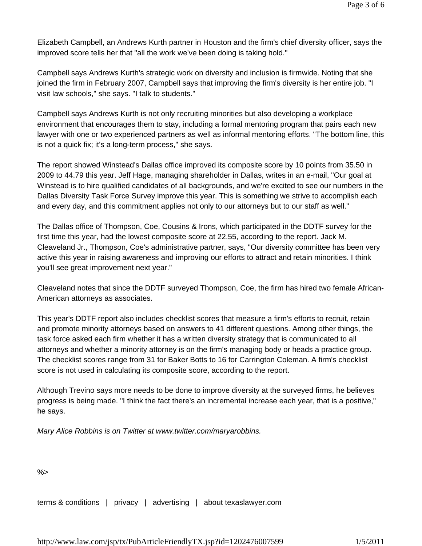Elizabeth Campbell, an Andrews Kurth partner in Houston and the firm's chief diversity officer, says the improved score tells her that "all the work we've been doing is taking hold."

Campbell says Andrews Kurth's strategic work on diversity and inclusion is firmwide. Noting that she joined the firm in February 2007, Campbell says that improving the firm's diversity is her entire job. "I visit law schools," she says. "I talk to students."

Campbell says Andrews Kurth is not only recruiting minorities but also developing a workplace environment that encourages them to stay, including a formal mentoring program that pairs each new lawyer with one or two experienced partners as well as informal mentoring efforts. "The bottom line, this is not a quick fix; it's a long-term process," she says.

The report showed Winstead's Dallas office improved its composite score by 10 points from 35.50 in 2009 to 44.79 this year. Jeff Hage, managing shareholder in Dallas, writes in an e-mail, "Our goal at Winstead is to hire qualified candidates of all backgrounds, and we're excited to see our numbers in the Dallas Diversity Task Force Survey improve this year. This is something we strive to accomplish each and every day, and this commitment applies not only to our attorneys but to our staff as well."

The Dallas office of Thompson, Coe, Cousins & Irons, which participated in the DDTF survey for the first time this year, had the lowest composite score at 22.55, according to the report. Jack M. Cleaveland Jr., Thompson, Coe's administrative partner, says, "Our diversity committee has been very active this year in raising awareness and improving our efforts to attract and retain minorities. I think you'll see great improvement next year."

Cleaveland notes that since the DDTF surveyed Thompson, Coe, the firm has hired two female African-American attorneys as associates.

This year's DDTF report also includes checklist scores that measure a firm's efforts to recruit, retain and promote minority attorneys based on answers to 41 different questions. Among other things, the task force asked each firm whether it has a written diversity strategy that is communicated to all attorneys and whether a minority attorney is on the firm's managing body or heads a practice group. The checklist scores range from 31 for Baker Botts to 16 for Carrington Coleman. A firm's checklist score is not used in calculating its composite score, according to the report.

Although Trevino says more needs to be done to improve diversity at the surveyed firms, he believes progress is being made. "I think the fact there's an incremental increase each year, that is a positive," he says.

*Mary Alice Robbins is on Twitter at www.twitter.com/maryarobbins.*

 $% >$ 

terms & conditions | privacy | advertising | about texaslawyer.com

http://www.law.com/jsp/tx/PubArticleFriendlyTX.jsp?id=1202476007599 1/5/2011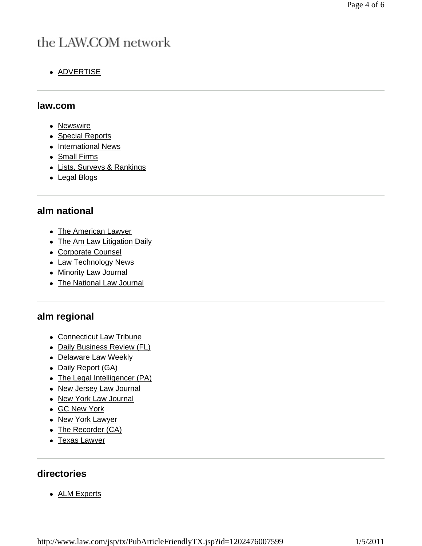# the LAW.COM network

• ADVERTISE

#### **law.com**

- Newswire
- Special Reports
- International News
- Small Firms
- Lists, Surveys & Rankings
- Legal Blogs

### **alm national**

- The American Lawyer
- The Am Law Litigation Daily
- Corporate Counsel
- Law Technology News
- Minority Law Journal
- The National Law Journal

## **alm regional**

- Connecticut Law Tribune
- Daily Business Review (FL)
- Delaware Law Weekly
- Daily Report (GA)
- The Legal Intelligencer (PA)
- New Jersey Law Journal
- New York Law Journal
- GC New York
- New York Lawyer
- The Recorder (CA)
- Texas Lawyer

#### **directories**

• ALM Experts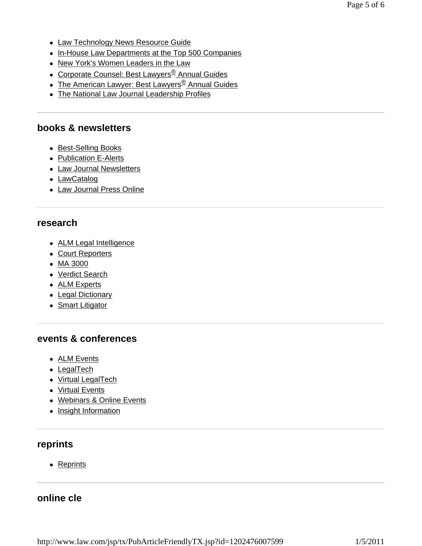- Law Technology News Resource Guide
- In-House Law Departments at the Top 500 Companies
- New York's Women Leaders in the Law
- Corporate Counsel: Best Lawyers<sup>®</sup> Annual Guides
- The American Lawyer: Best Lawyers<sup>®</sup> Annual Guides
- The National Law Journal Leadership Profiles

#### **books & newsletters**

- Best-Selling Books
- Publication E-Alerts
- Law Journal Newsletters
- LawCatalog
- Law Journal Press Online

#### **research**

- ALM Legal Intelligence
- Court Reporters
- $\bullet$  MA 3000
- Verdict Search
- ALM Experts
- Legal Dictionary
- Smart Litigator

#### **events & conferences**

- ALM Events
- $\bullet$  LegalTech
- Virtual LegalTech
- Virtual Events
- Webinars & Online Events
- Insight Information

#### **reprints**

• Reprints

#### **online cle**